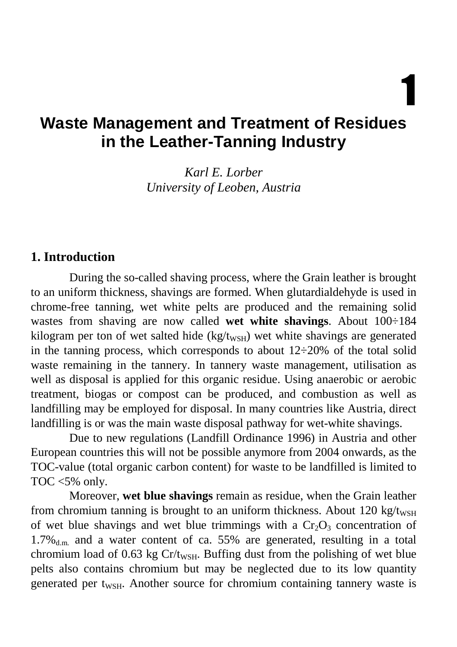1

# **Waste Management and Treatment of Residues in the Leather-Tanning Industry**

*Karl E. Lorber University of Leoben, Austria* 

#### **1. Introduction**

During the so-called shaving process, where the Grain leather is brought to an uniform thickness, shavings are formed. When glutardialdehyde is used in chrome-free tanning, wet white pelts are produced and the remaining solid wastes from shaving are now called **wet white shavings**. About 100÷184 kilogram per ton of wet salted hide (kg/t<sub>WSH</sub>) wet white shavings are generated in the tanning process, which corresponds to about  $12\div 20\%$  of the total solid waste remaining in the tannery. In tannery waste management, utilisation as well as disposal is applied for this organic residue. Using anaerobic or aerobic treatment, biogas or compost can be produced, and combustion as well as landfilling may be employed for disposal. In many countries like Austria, direct landfilling is or was the main waste disposal pathway for wet-white shavings.

Due to new regulations (Landfill Ordinance 1996) in Austria and other European countries this will not be possible anymore from 2004 onwards, as the TOC-value (total organic carbon content) for waste to be landfilled is limited to TOC  $<5\%$  only.

Moreover, **wet blue shavings** remain as residue, when the Grain leather from chromium tanning is brought to an uniform thickness. About 120 kg/t<sub>WSH</sub> of wet blue shavings and wet blue trimmings with a  $Cr_2O_3$  concentration of  $1.7\%_{d,m}$  and a water content of ca. 55% are generated, resulting in a total chromium load of 0.63 kg  $Cr/t_{WSH}$ . Buffing dust from the polishing of wet blue pelts also contains chromium but may be neglected due to its low quantity generated per t<sub>WSH</sub>. Another source for chromium containing tannery waste is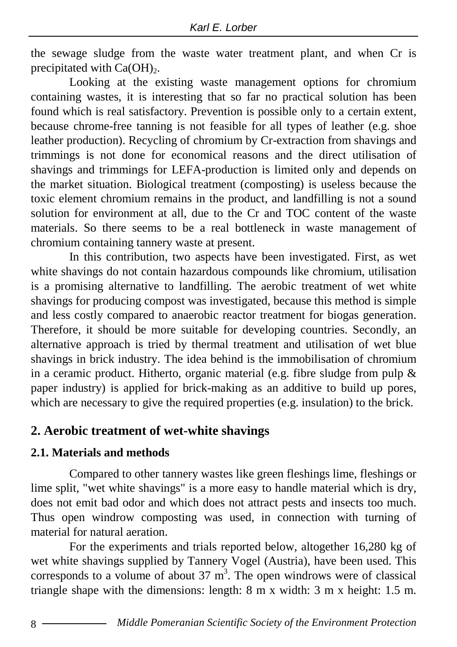the sewage sludge from the waste water treatment plant, and when Cr is precipitated with  $Ca(OH)_{2}$ .

Looking at the existing waste management options for chromium containing wastes, it is interesting that so far no practical solution has been found which is real satisfactory. Prevention is possible only to a certain extent, because chrome-free tanning is not feasible for all types of leather (e.g. shoe leather production). Recycling of chromium by Cr-extraction from shavings and trimmings is not done for economical reasons and the direct utilisation of shavings and trimmings for LEFA-production is limited only and depends on the market situation. Biological treatment (composting) is useless because the toxic element chromium remains in the product, and landfilling is not a sound solution for environment at all, due to the Cr and TOC content of the waste materials. So there seems to be a real bottleneck in waste management of chromium containing tannery waste at present.

In this contribution, two aspects have been investigated. First, as wet white shavings do not contain hazardous compounds like chromium, utilisation is a promising alternative to landfilling. The aerobic treatment of wet white shavings for producing compost was investigated, because this method is simple and less costly compared to anaerobic reactor treatment for biogas generation. Therefore, it should be more suitable for developing countries. Secondly, an alternative approach is tried by thermal treatment and utilisation of wet blue shavings in brick industry. The idea behind is the immobilisation of chromium in a ceramic product. Hitherto, organic material (e.g. fibre sludge from pulp & paper industry) is applied for brick-making as an additive to build up pores, which are necessary to give the required properties (e.g. insulation) to the brick.

#### **2. Aerobic treatment of wet-white shavings**

#### **2.1. Materials and methods**

Compared to other tannery wastes like green fleshings lime, fleshings or lime split, "wet white shavings" is a more easy to handle material which is dry, does not emit bad odor and which does not attract pests and insects too much. Thus open windrow composting was used, in connection with turning of material for natural aeration.

For the experiments and trials reported below, altogether 16,280 kg of wet white shavings supplied by Tannery Vogel (Austria), have been used. This corresponds to a volume of about  $37 \text{ m}^3$ . The open windrows were of classical triangle shape with the dimensions: length: 8 m x width: 3 m x height: 1.5 m.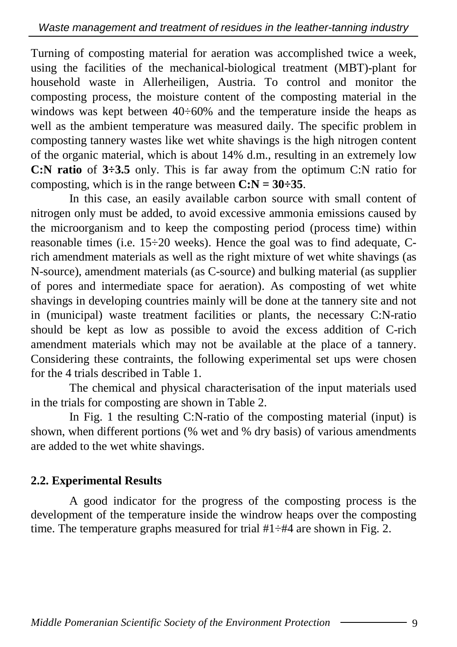Turning of composting material for aeration was accomplished twice a week, using the facilities of the mechanical-biological treatment (MBT)-plant for household waste in Allerheiligen, Austria. To control and monitor the composting process, the moisture content of the composting material in the windows was kept between 40÷60% and the temperature inside the heaps as well as the ambient temperature was measured daily. The specific problem in composting tannery wastes like wet white shavings is the high nitrogen content of the organic material, which is about 14% d.m., resulting in an extremely low **C:N ratio** of **3÷3.5** only. This is far away from the optimum C:N ratio for composting, which is in the range between  $C: N = 30 \div 35$ .

In this case, an easily available carbon source with small content of nitrogen only must be added, to avoid excessive ammonia emissions caused by the microorganism and to keep the composting period (process time) within reasonable times (i.e. 15÷20 weeks). Hence the goal was to find adequate, Crich amendment materials as well as the right mixture of wet white shavings (as N-source), amendment materials (as C-source) and bulking material (as supplier of pores and intermediate space for aeration). As composting of wet white shavings in developing countries mainly will be done at the tannery site and not in (municipal) waste treatment facilities or plants, the necessary C:N-ratio should be kept as low as possible to avoid the excess addition of C-rich amendment materials which may not be available at the place of a tannery. Considering these contraints, the following experimental set ups were chosen for the 4 trials described in Table 1.

The chemical and physical characterisation of the input materials used in the trials for composting are shown in Table 2.

In Fig. 1 the resulting C:N-ratio of the composting material (input) is shown, when different portions (% wet and % dry basis) of various amendments are added to the wet white shavings.

## **2.2. Experimental Results**

A good indicator for the progress of the composting process is the development of the temperature inside the windrow heaps over the composting time. The temperature graphs measured for trial  $#1 \div #4$  are shown in Fig. 2.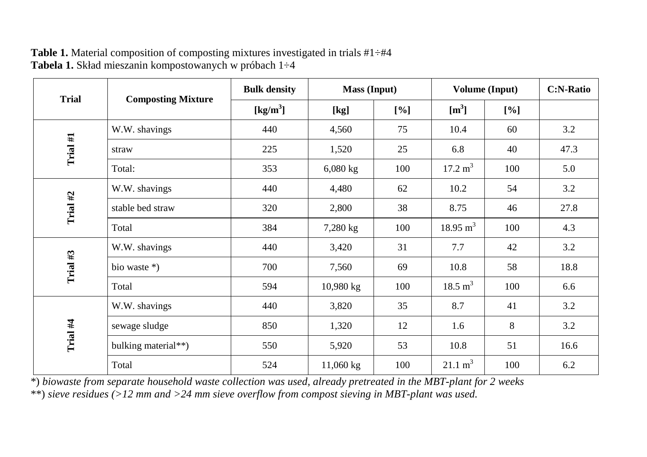| <b>Trial</b> |                           | <b>Bulk density</b> | <b>Mass</b> (Input) |     | <b>Volume (Input)</b> |     | <b>C:N-Ratio</b> |
|--------------|---------------------------|---------------------|---------------------|-----|-----------------------|-----|------------------|
|              | <b>Composting Mixture</b> | [ $\text{kg/m}^3$ ] | [kg]                | [%] | $\mathrm{[m^3]}$      | [%] |                  |
|              | W.W. shavings             | 440                 | 4,560               | 75  | 10.4                  | 60  | 3.2              |
| Trial #1     | straw                     | 225                 | 1,520               | 25  | 6.8                   | 40  | 47.3             |
|              | Total:                    | 353                 | $6,080$ kg          | 100 | $17.2 \text{ m}^3$    | 100 | 5.0              |
|              | W.W. shavings             | 440                 | 4,480               | 62  | 10.2                  | 54  | 3.2              |
| Trial #2     | stable bed straw          | 320                 | 2,800               | 38  | 8.75                  | 46  | 27.8             |
|              | Total                     | 384                 | 7,280 kg            | 100 | $18.95 \text{ m}^3$   | 100 | 4.3              |
|              | W.W. shavings             | 440                 | 3,420               | 31  | 7.7                   | 42  | 3.2              |
| Trial $#3$   | bio waste *)              | 700                 | 7,560               | 69  | 10.8                  | 58  | 18.8             |
|              | Total                     | 594                 | $10,980$ kg         | 100 | $18.5 \text{ m}^3$    | 100 | 6.6              |
|              | W.W. shavings             | 440                 | 3,820               | 35  | 8.7                   | 41  | 3.2              |
| Trial $#4$   | sewage sludge             | 850                 | 1,320               | 12  | 1.6                   | 8   | 3.2              |
|              | bulking material**)       | 550                 | 5,920               | 53  | 10.8                  | 51  | 16.6             |
|              | Total                     | 524                 | 11,060 kg           | 100 | $21.1 \text{ m}^3$    | 100 | 6.2              |

Table 1. Material composition of composting mixtures investigated in trials #1÷#4 **Tabela 1.** Skład mieszanin kompostowanych w próbach 1÷4

\*) *biowaste from separate household waste collection was used, already pretreated in the MBT-plant for 2 weeks* \*\*) *sieve residues (>12 mm and >24 mm sieve overflow from compost sieving in MBT-plant was used.*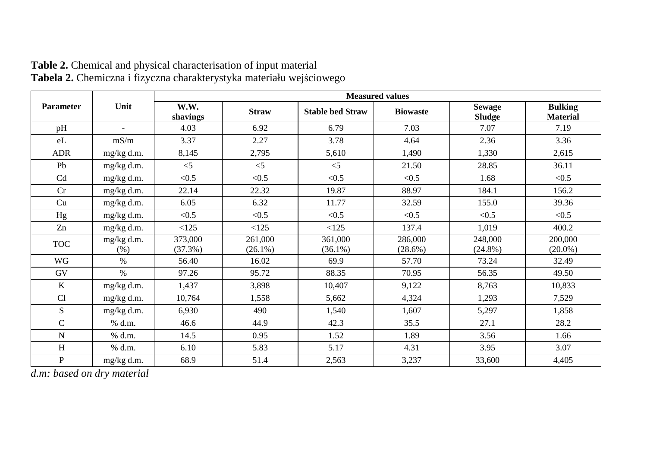|                  | Unit                     | <b>Measured values</b> |                       |                         |                       |                                |                                   |  |  |  |
|------------------|--------------------------|------------------------|-----------------------|-------------------------|-----------------------|--------------------------------|-----------------------------------|--|--|--|
| <b>Parameter</b> |                          | W.W.<br>shavings       | <b>Straw</b>          | <b>Stable bed Straw</b> | <b>Biowaste</b>       | <b>Sewage</b><br><b>Sludge</b> | <b>Bulking</b><br><b>Material</b> |  |  |  |
| pH               | $\overline{\phantom{a}}$ | 4.03                   | 6.92                  | 6.79                    | 7.03                  | 7.07                           | 7.19                              |  |  |  |
| eL               | mS/m                     | 3.37                   | 2.27                  | 3.78                    | 4.64                  | 2.36                           | 3.36                              |  |  |  |
| <b>ADR</b>       | mg/kg d.m.               | 8,145                  | 2,795                 | 5,610                   | 1,490                 | 1,330                          | 2,615                             |  |  |  |
| Pb               | mg/kg d.m.               | $\leq$ 5               | $<$ 5                 | $<$ 5                   | 21.50                 | 28.85                          | 36.11                             |  |  |  |
| C <sub>d</sub>   | mg/kg d.m.               | < 0.5                  | < 0.5                 | < 0.5                   | < 0.5                 | 1.68                           | < 0.5                             |  |  |  |
| Cr               | mg/kg d.m.               | 22.14                  | 22.32                 | 19.87                   | 88.97                 | 184.1                          | 156.2                             |  |  |  |
| Cu               | mg/kg d.m.               | 6.05                   | 6.32                  | 11.77                   | 32.59                 | 155.0                          | 39.36                             |  |  |  |
| Hg               | mg/kg d.m.               | < 0.5                  | < 0.5                 | < 0.5                   | < 0.5                 | < 0.5                          | < 0.5                             |  |  |  |
| Zn               | mg/kg d.m.               | <125                   | <125                  | <125                    | 137.4                 | 1,019                          | 400.2                             |  |  |  |
| <b>TOC</b>       | mg/kg d.m.<br>(% )       | 373,000<br>(37.3%)     | 261,000<br>$(26.1\%)$ | 361,000<br>$(36.1\%)$   | 286,000<br>$(28.6\%)$ | 248,000<br>$(24.8\%)$          | 200,000<br>$(20.0\%)$             |  |  |  |
| WG               | $\%$                     | 56.40                  | 16.02                 | 69.9                    | 57.70                 | 73.24                          | 32.49                             |  |  |  |
| GV               | $\%$                     | 97.26                  | 95.72                 | 88.35                   | 70.95                 | 56.35                          | 49.50                             |  |  |  |
| $\mathbf K$      | mg/kg d.m.               | 1,437                  | 3,898                 | 10,407                  | 9,122                 | 8.763                          | 10,833                            |  |  |  |
| Cl               | mg/kg d.m.               | 10,764                 | 1,558                 | 5,662                   | 4,324                 | 1,293                          | 7,529                             |  |  |  |
| S                | mg/kg d.m.               | 6,930                  | 490                   | 1,540                   | 1,607                 | 5,297                          | 1,858                             |  |  |  |
| $\overline{C}$   | % d.m.                   | 46.6                   | 44.9                  | 42.3                    | 35.5                  | 27.1                           | 28.2                              |  |  |  |
| N                | % d.m.                   | 14.5                   | 0.95                  | 1.52                    | 1.89                  | 3.56                           | 1.66                              |  |  |  |
| H                | % d.m.                   | 6.10                   | 5.83                  | 5.17                    | 4.31                  | 3.95                           | 3.07                              |  |  |  |
| P                | mg/kg d.m.               | 68.9                   | 51.4                  | 2,563                   | 3,237                 | 33,600                         | 4,405                             |  |  |  |

**Table 2.** Chemical and physical characterisation of input material **Tabela 2.** Chemiczna i fizyczna charakterystyka materiału wejściowego

*d.m: based on dry material*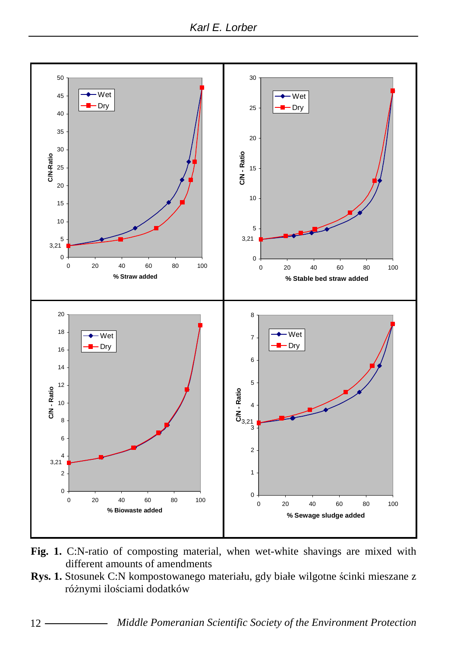

- **Fig. 1.** C:N-ratio of composting material, when wet-white shavings are mixed with different amounts of amendments
- **Rys. 1.** Stosunek C:N kompostowanego materiału, gdy białe wilgotne ścinki mieszane z różnymi ilościami dodatków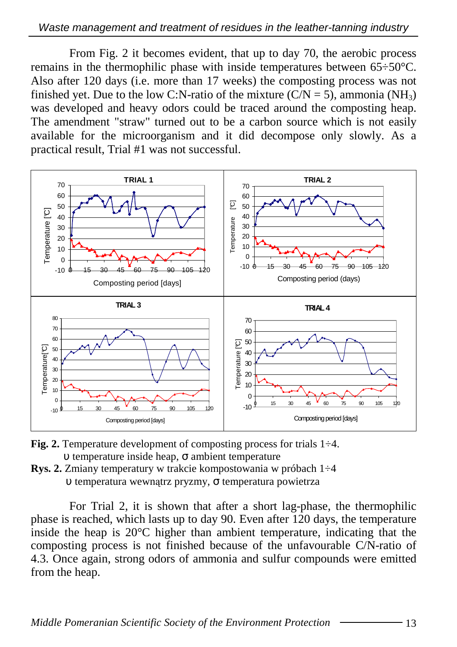From Fig. 2 it becomes evident, that up to day 70, the aerobic process remains in the thermophilic phase with inside temperatures between 65÷50°C. Also after 120 days (i.e. more than 17 weeks) the composting process was not finished yet. Due to the low C:N-ratio of the mixture  $(C/N = 5)$ , ammonia  $(NH_3)$ was developed and heavy odors could be traced around the composting heap. The amendment "straw" turned out to be a carbon source which is not easily available for the microorganism and it did decompose only slowly. As a practical result, Trial #1 was not successful.



- **Fig. 2.** Temperature development of composting process for trials 1÷4. υ temperature inside heap, σ ambient temperature
- **Rys. 2.** Zmiany temperatury w trakcie kompostowania w próbach 1÷4 υ temperatura wewnątrz pryzmy, σ temperatura powietrza

For Trial 2, it is shown that after a short lag-phase, the thermophilic phase is reached, which lasts up to day 90. Even after 120 days, the temperature inside the heap is 20°C higher than ambient temperature, indicating that the composting process is not finished because of the unfavourable C/N-ratio of 4.3. Once again, strong odors of ammonia and sulfur compounds were emitted from the heap.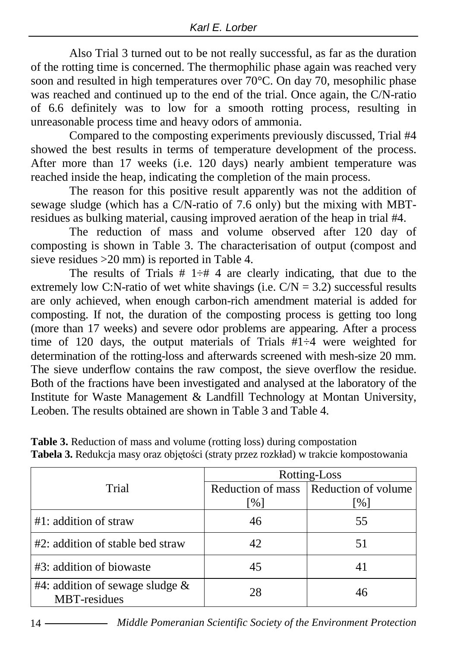Also Trial 3 turned out to be not really successful, as far as the duration of the rotting time is concerned. The thermophilic phase again was reached very soon and resulted in high temperatures over  $70^{\circ}$ C. On day 70, mesophilic phase was reached and continued up to the end of the trial. Once again, the C/N-ratio of 6.6 definitely was to low for a smooth rotting process, resulting in unreasonable process time and heavy odors of ammonia.

Compared to the composting experiments previously discussed, Trial #4 showed the best results in terms of temperature development of the process. After more than 17 weeks (i.e. 120 days) nearly ambient temperature was reached inside the heap, indicating the completion of the main process.

The reason for this positive result apparently was not the addition of sewage sludge (which has a  $C/N$ -ratio of 7.6 only) but the mixing with MBTresidues as bulking material, causing improved aeration of the heap in trial #4.

The reduction of mass and volume observed after 120 day of composting is shown in Table 3. The characterisation of output (compost and sieve residues >20 mm) is reported in Table 4.

The results of Trials  $# 1 \div H 4$  are clearly indicating, that due to the extremely low C:N-ratio of wet white shavings (i.e.  $C/N = 3.2$ ) successful results are only achieved, when enough carbon-rich amendment material is added for composting. If not, the duration of the composting process is getting too long (more than 17 weeks) and severe odor problems are appearing. After a process time of 120 days, the output materials of Trials  $\#1-4$  were weighted for determination of the rotting-loss and afterwards screened with mesh-size 20 mm. The sieve underflow contains the raw compost, the sieve overflow the residue. Both of the fractions have been investigated and analysed at the laboratory of the Institute for Waste Management & Landfill Technology at Montan University, Leoben. The results obtained are shown in Table 3 and Table 4.

|                                                           | Rotting-Loss |                                         |  |  |  |
|-----------------------------------------------------------|--------------|-----------------------------------------|--|--|--|
| Trial                                                     |              | Reduction of mass   Reduction of volume |  |  |  |
|                                                           | [%]          | [%]                                     |  |  |  |
| $#1$ : addition of straw                                  | 46           | 55                                      |  |  |  |
| #2: addition of stable bed straw                          | 42           | 51                                      |  |  |  |
| #3: addition of biowaste                                  | 45           |                                         |  |  |  |
| #4: addition of sewage sludge $\&$<br><b>MBT-residues</b> | 28           | 46                                      |  |  |  |

**Table 3.** Reduction of mass and volume (rotting loss) during compostation **Tabela 3.** Redukcja masy oraz objętości (straty przez rozkład) w trakcie kompostowania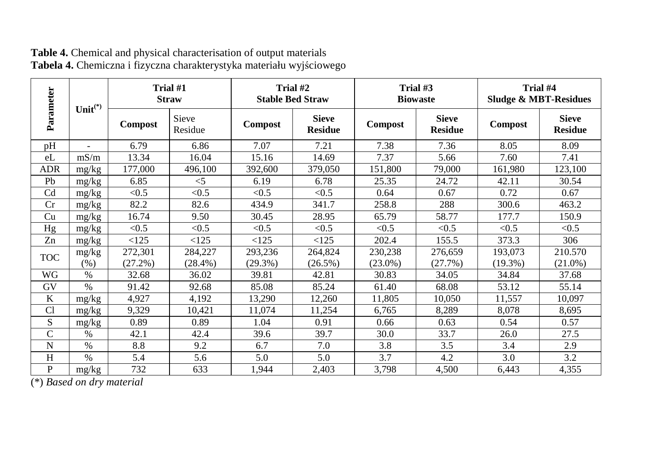| Parameter      | Unit $(*)$    | Trial #1<br><b>Straw</b> |                       | Trial #2<br><b>Stable Bed Straw</b> |                                | Trial #3<br><b>Biowaste</b> |                                | Trial #4<br><b>Sludge &amp; MBT-Residues</b> |                                |
|----------------|---------------|--------------------------|-----------------------|-------------------------------------|--------------------------------|-----------------------------|--------------------------------|----------------------------------------------|--------------------------------|
|                |               | <b>Compost</b>           | Sieve<br>Residue      | <b>Compost</b>                      | <b>Sieve</b><br><b>Residue</b> | <b>Compost</b>              | <b>Sieve</b><br><b>Residue</b> | <b>Compost</b>                               | <b>Sieve</b><br><b>Residue</b> |
| pH             |               | 6.79                     | 6.86                  | 7.07                                | 7.21                           | 7.38                        | 7.36                           | 8.05                                         | 8.09                           |
| eL             | mS/m          | 13.34                    | 16.04                 | 15.16                               | 14.69                          | 7.37                        | 5.66                           | 7.60                                         | 7.41                           |
| ADR            | mg/kg         | 177,000                  | 496,100               | 392,600                             | 379,050                        | 151,800                     | 79,000                         | 161,980                                      | 123,100                        |
| Pb             | mg/kg         | 6.85                     | $<$ 5                 | 6.19                                | 6.78                           | 25.35                       | 24.72                          | 42.11                                        | 30.54                          |
| C <sub>d</sub> | mg/kg         | < 0.5                    | < 0.5                 | < 0.5                               | < 0.5                          | 0.64                        | 0.67                           | 0.72                                         | 0.67                           |
| Cr             | mg/kg         | 82.2                     | 82.6                  | 434.9                               | 341.7                          | 258.8                       | 288                            | 300.6                                        | 463.2                          |
| Cu             | mg/kg         | 16.74                    | 9.50                  | 30.45                               | 28.95                          | 65.79                       | 58.77                          | 177.7                                        | 150.9                          |
| Hg             | mg/kg         | < 0.5                    | < 0.5                 | < 0.5                               | < 0.5                          | < 0.5                       | < 0.5                          | < 0.5                                        | < 0.5                          |
| Zn             | mg/kg         | <125                     | <125                  | <125                                | <125                           | 202.4                       | 155.5                          | 373.3                                        | 306                            |
| <b>TOC</b>     | mg/kg<br>(% ) | 272,301<br>(27.2%)       | 284,227<br>$(28.4\%)$ | 293,236<br>$(29.3\%)$               | 264,824<br>$(26.5\%)$          | 230,238<br>$(23.0\%)$       | 276,659<br>(27.7%)             | 193,073<br>$(19.3\%)$                        | 210.570<br>$(21.0\%)$          |
| WG             | $\%$          | 32.68                    | 36.02                 | 39.81                               | 42.81                          | 30.83                       | 34.05                          | 34.84                                        | 37.68                          |
| GV             | $\%$          | 91.42                    | 92.68                 | 85.08                               | 85.24                          | 61.40                       | 68.08                          | 53.12                                        | 55.14                          |
| K              | mg/kg         | 4,927                    | 4,192                 | 13,290                              | 12,260                         | 11,805                      | 10,050                         | 11,557                                       | 10,097                         |
| Cl             | mg/kg         | 9,329                    | 10,421                | 11,074                              | 11,254                         | 6,765                       | 8,289                          | 8,078                                        | 8,695                          |
| S              | mg/kg         | 0.89                     | 0.89                  | 1.04                                | 0.91                           | 0.66                        | 0.63                           | 0.54                                         | 0.57                           |
| C              | $\%$          | 42.1                     | 42.4                  | 39.6                                | 39.7                           | 30.0                        | 33.7                           | 26.0                                         | 27.5                           |
| N              | $\frac{0}{0}$ | 8.8                      | 9.2                   | 6.7                                 | 7.0                            | 3.8                         | 3.5                            | 3.4                                          | 2.9                            |
| H              | $\frac{0}{0}$ | 5.4                      | 5.6                   | 5.0                                 | 5.0                            | 3.7                         | 4.2                            | 3.0                                          | 3.2                            |
| P              | mg/kg         | 732                      | 633                   | 1,944                               | 2,403                          | 3,798                       | 4,500                          | 6,443                                        | 4,355                          |

#### **Table 4.** Chemical and physical characterisation of output materials **Tabela 4.** Chemiczna i fizyczna charakterystyka materiału wyjściowego

(\*) *Based on dry material*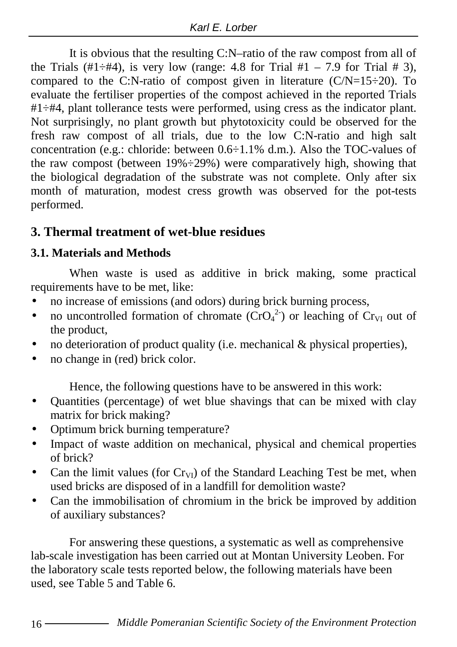It is obvious that the resulting C:N–ratio of the raw compost from all of the Trials (#1÷#4), is very low (range: 4.8 for Trial #1 – 7.9 for Trial # 3), compared to the C:N-ratio of compost given in literature  $(C/N=15-20)$ . To evaluate the fertiliser properties of the compost achieved in the reported Trials #1÷#4, plant tollerance tests were performed, using cress as the indicator plant. Not surprisingly, no plant growth but phytotoxicity could be observed for the fresh raw compost of all trials, due to the low C:N-ratio and high salt concentration (e.g.: chloride: between 0.6÷1.1% d.m.). Also the TOC-values of the raw compost (between  $19\% \div 29\%$ ) were comparatively high, showing that the biological degradation of the substrate was not complete. Only after six month of maturation, modest cress growth was observed for the pot-tests performed.

## **3. Thermal treatment of wet-blue residues**

## **3.1. Materials and Methods**

When waste is used as additive in brick making, some practical requirements have to be met, like:

- no increase of emissions (and odors) during brick burning process,
- no uncontrolled formation of chromate  $(CrO<sub>4</sub><sup>2</sup>)$  or leaching of  $Cr<sub>VI</sub>$  out of the product,
- no deterioration of product quality (i.e. mechanical  $\&$  physical properties),
- no change in (red) brick color.

Hence, the following questions have to be answered in this work:

- Quantities (percentage) of wet blue shavings that can be mixed with clay matrix for brick making?
- Optimum brick burning temperature?
- Impact of waste addition on mechanical, physical and chemical properties of brick?
- Can the limit values (for  $Cr_{VI}$ ) of the Standard Leaching Test be met, when used bricks are disposed of in a landfill for demolition waste?
- Can the immobilisation of chromium in the brick be improved by addition of auxiliary substances?

For answering these questions, a systematic as well as comprehensive lab-scale investigation has been carried out at Montan University Leoben. For the laboratory scale tests reported below, the following materials have been used, see Table 5 and Table 6.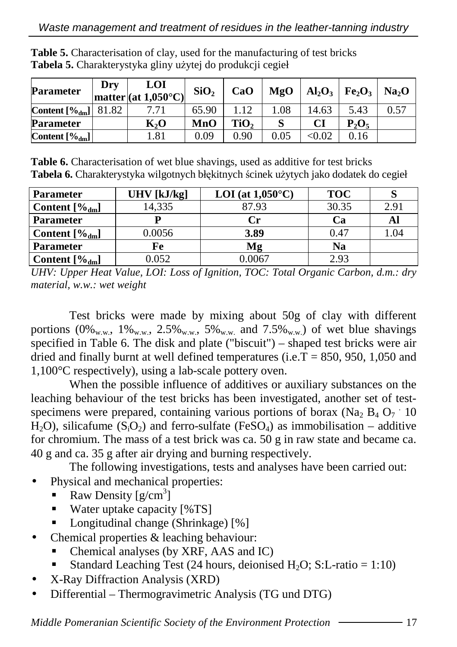| Parameter           | Dry   | LOI<br>$ $ matter $ $ (at 1,050 $^{\circ}$ C) $ $ | SiO <sub>2</sub> | CaO  | MgO  | $Al_2O_3$     | Fe <sub>2</sub> O <sub>3</sub> | Na <sub>2</sub> O |
|---------------------|-------|---------------------------------------------------|------------------|------|------|---------------|--------------------------------|-------------------|
| Content $[\%_{dm}]$ | 81.82 | 7.71                                              | 65.90            | 1.12 | 1.08 | 14.63         | 5.43                           | 0.57              |
| Parameter           |       | $\mathbf{K}_2\mathbf{O}$                          | MnO              | TiO, |      | CI            | $P_2O_5$                       |                   |
| Content [%dm]       |       | 1.81                                              | 0.09             | 0.90 | 0.05 | $< \!\! 0.02$ | 0.16                           |                   |

**Table 5.** Characterisation of clay, used for the manufacturing of test bricks Tabela 5. Charakterystyka gliny użytej do produkcji cegieł

**Table 6.** Characterisation of wet blue shavings, used as additive for test bricks Tabela 6. Charakterystyka wilgotnych błękitnych ścinek użytych jako dodatek do cegieł

| <b>Parameter</b>           | $UHV$ [kJ/kg] | LOI (at $1,050^{\circ}$ C) | <b>TOC</b> |      |
|----------------------------|---------------|----------------------------|------------|------|
| Content $[\%_{dm}]$        | 14.335        | 87.93                      | 30.35      | 2.91 |
| Parameter                  |               | Сr                         | Сa         | Al   |
| Content $[\%_{dm}]$        | 0.0056        | 3.89                       | 0.47       | 1.04 |
| <b>Parameter</b>           | Fe            | Mg                         | Na         |      |
| <b>Content</b> $[\%_{dm}]$ | 0.052         | 0.0067                     | 2.93       |      |

*UHV: Upper Heat Value, LOI: Loss of Ignition, TOC: Total Organic Carbon, d.m.: dry material, w.w.: wet weight* 

Test bricks were made by mixing about 50g of clay with different portions  $(0\%_{w,w}, 1\%_{w,w}, 2.5\%_{w,w}, 5\%_{w,w}$  and  $7.5\%_{w,w}$  of wet blue shavings specified in Table 6. The disk and plate ("biscuit") – shaped test bricks were air dried and finally burnt at well defined temperatures (i.e.  $T = 850, 950, 1,050$  and 1,100°C respectively), using a lab-scale pottery oven.

When the possible influence of additives or auxiliary substances on the leaching behaviour of the test bricks has been investigated, another set of testspecimens were prepared, containing various portions of borax ( $Na<sub>2</sub> B<sub>4</sub> O<sub>7</sub>$  10 H<sub>2</sub>O), silicafume (S<sub>i</sub>O<sub>2</sub>) and ferro-sulfate (FeSO<sub>4</sub>) as immobilisation – additive for chromium. The mass of a test brick was ca. 50 g in raw state and became ca. 40 g and ca. 35 g after air drying and burning respectively.

The following investigations, tests and analyses have been carried out:

- Physical and mechanical properties:
	- Raw Density  $[g/cm^3]$
	- Water uptake capacity  $[%TS]$
	- Longitudinal change (Shrinkage) [%]
- Chemical properties  $&$  leaching behaviour:
	- Chemical analyses (by XRF, AAS and IC)
	- Standard Leaching Test (24 hours, deionised  $H_2O$ ; S:L-ratio = 1:10)
- X-Ray Diffraction Analysis (XRD)
- Differential Thermogravimetric Analysis (TG und DTG)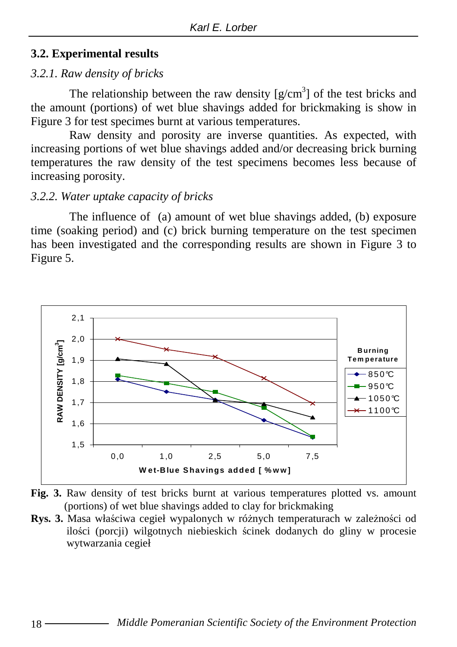#### **3.2. Experimental results**

#### *3.2.1. Raw density of bricks*

The relationship between the raw density  $[g/cm<sup>3</sup>]$  of the test bricks and the amount (portions) of wet blue shavings added for brickmaking is show in Figure 3 for test specimes burnt at various temperatures.

Raw density and porosity are inverse quantities. As expected, with increasing portions of wet blue shavings added and/or decreasing brick burning temperatures the raw density of the test specimens becomes less because of increasing porosity.

#### *3.2.2. Water uptake capacity of bricks*

The influence of (a) amount of wet blue shavings added, (b) exposure time (soaking period) and (c) brick burning temperature on the test specimen has been investigated and the corresponding results are shown in Figure 3 to Figure 5.





Rys. 3. Masa właściwa cegieł wypalonych w różnych temperaturach w zależności od ilości (porcji) wilgotnych niebieskich ścinek dodanych do gliny w procesie wytwarzania cegieł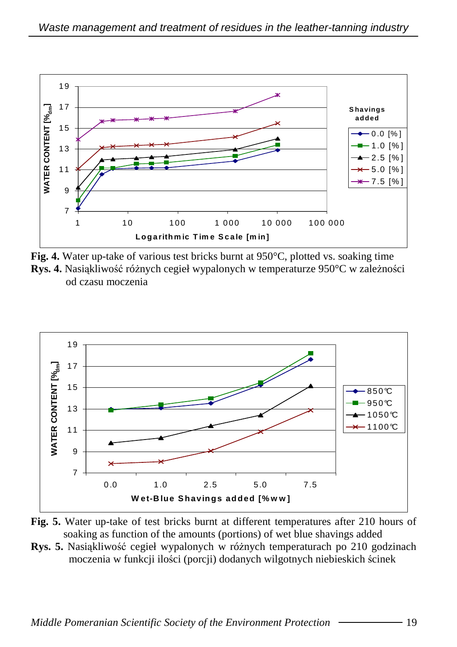

**Fig. 4.** Water up-take of various test bricks burnt at 950 °C, plotted vs. soaking time **Rys. 4.** Nasiąkliwość różnych cegieł wypalonych w temperaturze 950°C w zależności od czasu moczenia



**Fig. 5.** Water up-take of test bricks burnt at different temperatures after 210 hours of soaking as function of the amounts (portions) of wet blue shavings added

**Rys. 5.** Nasiąkliwość cegieł wypalonych w różnych temperaturach po 210 godzinach moczenia w funkcji ilości (porcji) dodanych wilgotnych niebieskich ścinek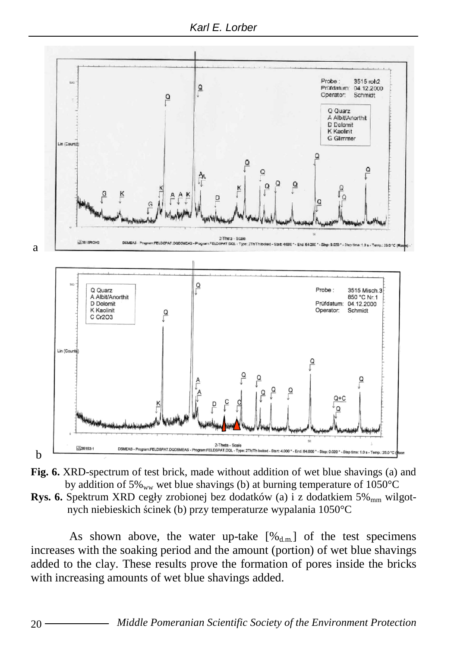Karl E. Lorber





**Rys. 6.** Spektrum XRD cegły zrobionej bez dodatków (a) i z dodatkiem 5% <sub>mm</sub> wilgotnych niebieskich ścinek (b) przy temperaturze wypalania 1050°C

As shown above, the water up-take  $[\%_{d,m}]$  of the test specimens increases with the soaking period and the amount (portion) of wet blue shavings added to the clay. These results prove the formation of pores inside the bricks with increasing amounts of wet blue shavings added.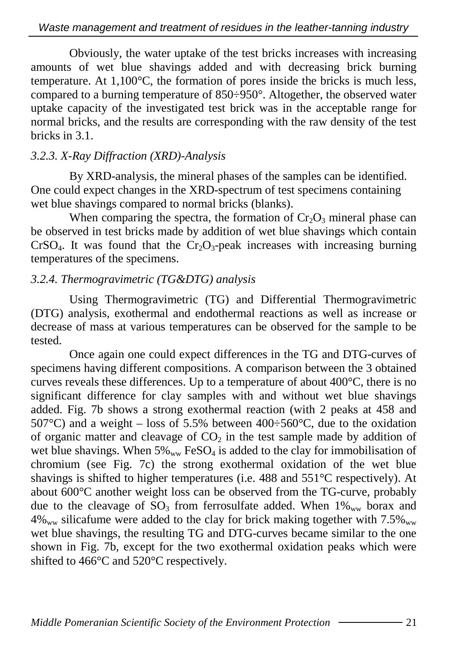Obviously, the water uptake of the test bricks increases with increasing amounts of wet blue shavings added and with decreasing brick burning temperature. At 1,100°C, the formation of pores inside the bricks is much less, compared to a burning temperature of 850÷950°. Altogether, the observed water uptake capacity of the investigated test brick was in the acceptable range for normal bricks, and the results are corresponding with the raw density of the test bricks in 3.1.

## *3.2.3. X-Ray Diffraction (XRD)-Analysis*

By XRD-analysis, the mineral phases of the samples can be identified. One could expect changes in the XRD-spectrum of test specimens containing wet blue shavings compared to normal bricks (blanks).

When comparing the spectra, the formation of  $Cr_2O_3$  mineral phase can be observed in test bricks made by addition of wet blue shavings which contain CrSO<sub>4</sub>. It was found that the Cr<sub>2</sub>O<sub>3</sub>-peak increases with increasing burning temperatures of the specimens.

## *3.2.4. Thermogravimetric (TG&DTG) analysis*

Using Thermogravimetric (TG) and Differential Thermogravimetric (DTG) analysis, exothermal and endothermal reactions as well as increase or decrease of mass at various temperatures can be observed for the sample to be tested.

Once again one could expect differences in the TG and DTG-curves of specimens having different compositions. A comparison between the 3 obtained curves reveals these differences. Up to a temperature of about 400°C, there is no significant difference for clay samples with and without wet blue shavings added. Fig. 7b shows a strong exothermal reaction (with 2 peaks at 458 and 507°C) and a weight – loss of 5.5% between  $400 \div 560$ °C, due to the oxidation of organic matter and cleavage of  $CO<sub>2</sub>$  in the test sample made by addition of wet blue shavings. When  $5\%_{ww}$  FeSO<sub>4</sub> is added to the clay for immobilisation of chromium (see Fig. 7c) the strong exothermal oxidation of the wet blue shavings is shifted to higher temperatures (i.e. 488 and 551°C respectively). At about 600°C another weight loss can be observed from the TG-curve, probably due to the cleavage of  $SO_3$  from ferrosulfate added. When  $1\%_{ww}$  borax and  $4\%_{ww}$  silicafume were added to the clay for brick making together with  $7.5\%_{ww}$ wet blue shavings, the resulting TG and DTG-curves became similar to the one shown in Fig. 7b, except for the two exothermal oxidation peaks which were shifted to 466°C and 520°C respectively.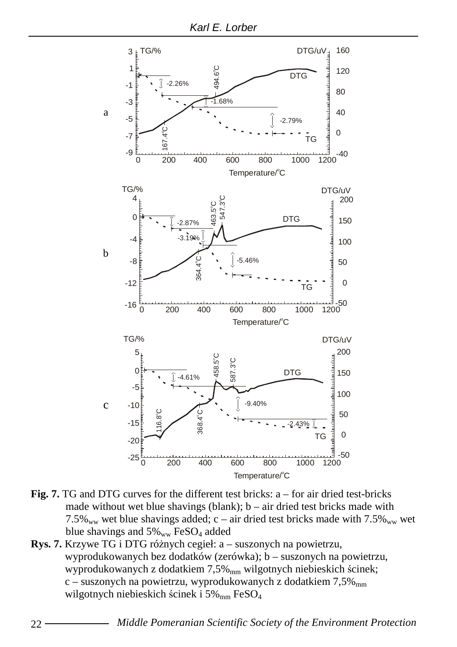

- **Fig. 7.** TG and DTG curves for the different test bricks: a for air dried test-bricks made without wet blue shavings (blank);  $b - air$  dried test bricks made with 7.5%<sub>ww</sub> wet blue shavings added; c – air dried test bricks made with  $7.5\%$ <sub>ww</sub> wet blue shavings and  $5\%_{ww}$  FeSO<sub>4</sub> added
- **Rys. 7.** Krzywe TG i DTG różnych cegieł: a suszonych na powietrzu, wyprodukowanych bez dodatków (zerówka); b – suszonych na powietrzu, wyprodukowanych z dodatkiem 7,5%<sub>mm</sub> wilgotnych niebieskich ścinek; c – suszonych na powietrzu, wyprodukowanych z dodatkiem  $7.5\%$ <sub>mm</sub> wilgotnych niebieskich ścinek i 5% $_{\text{mm}}$  FeSO<sub>4</sub>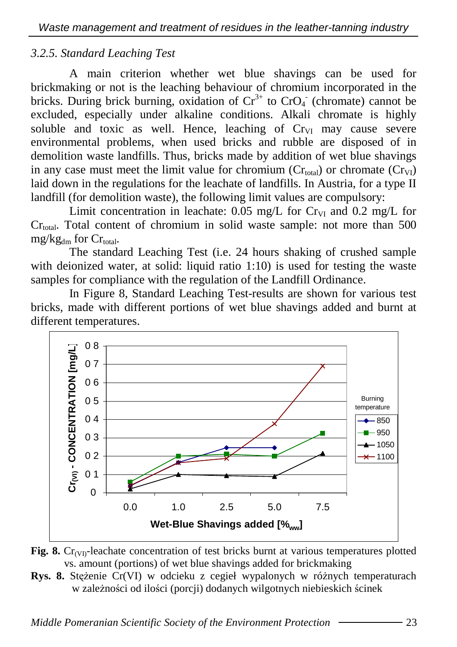### *3.2.5. Standard Leaching Test*

A main criterion whether wet blue shavings can be used for brickmaking or not is the leaching behaviour of chromium incorporated in the bricks. During brick burning, oxidation of  $Cr^{3+}$  to  $CrO<sub>4</sub>$  (chromate) cannot be excluded, especially under alkaline conditions. Alkali chromate is highly soluble and toxic as well. Hence, leaching of  $Cr<sub>VI</sub>$  may cause severe environmental problems, when used bricks and rubble are disposed of in demolition waste landfills. Thus, bricks made by addition of wet blue shavings in any case must meet the limit value for chromium  $(Cr_{total})$  or chromate  $(Cr_{VI})$ laid down in the regulations for the leachate of landfills. In Austria, for a type II landfill (for demolition waste), the following limit values are compulsory:

Limit concentration in leachate:  $0.05$  mg/L for Cr<sub>VI</sub> and  $0.2$  mg/L for  $Cr_{\text{total}}$ . Total content of chromium in solid waste sample: not more than 500  $mg/kg<sub>dm</sub>$  for  $Cr<sub>total</sub>$ .

The standard Leaching Test (i.e. 24 hours shaking of crushed sample with deionized water, at solid: liquid ratio 1:10) is used for testing the waste samples for compliance with the regulation of the Landfill Ordinance.

In Figure 8, Standard Leaching Test-results are shown for various test bricks, made with different portions of wet blue shavings added and burnt at different temperatures.





**Rys. 8.** Stężenie Cr(VI) w odcieku z cegieł wypalonych w różnych temperaturach w zależności od ilości (porcji) dodanych wilgotnych niebieskich ścinek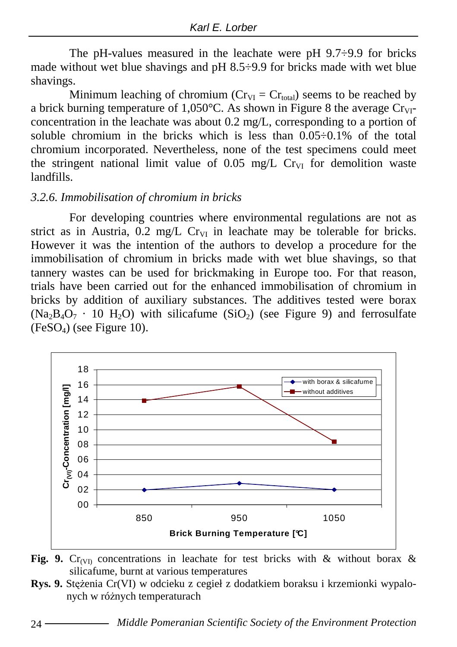The pH-values measured in the leachate were pH  $9.7\div9.9$  for bricks made without wet blue shavings and pH 8.5÷9.9 for bricks made with wet blue shavings.

Minimum leaching of chromium ( $Cr_{VI} = Cr_{total}$ ) seems to be reached by a brick burning temperature of  $1,050^{\circ}$ C. As shown in Figure 8 the average Cr<sub>VI</sub>concentration in the leachate was about 0.2 mg/L, corresponding to a portion of soluble chromium in the bricks which is less than  $0.05\div 0.1\%$  of the total chromium incorporated. Nevertheless, none of the test specimens could meet the stringent national limit value of  $0.05$  mg/L Cr<sub>VI</sub> for demolition waste landfills.

#### *3.2.6. Immobilisation of chromium in bricks*

For developing countries where environmental regulations are not as strict as in Austria,  $0.2 \text{ mg/L CrvI}$  in leachate may be tolerable for bricks. However it was the intention of the authors to develop a procedure for the immobilisation of chromium in bricks made with wet blue shavings, so that tannery wastes can be used for brickmaking in Europe too. For that reason, trials have been carried out for the enhanced immobilisation of chromium in bricks by addition of auxiliary substances. The additives tested were borax  $(Na_3B_4O_7 \cdot 10 H_2O)$  with silicafume  $(SiO_2)$  (see Figure 9) and ferrosulfate  $(FeSO<sub>4</sub>)$  (see Figure 10).





**Rys. 9.** Stężenia Cr(VI) w odcieku z cegieł z dodatkiem boraksu i krzemionki wypalonych w różnych temperaturach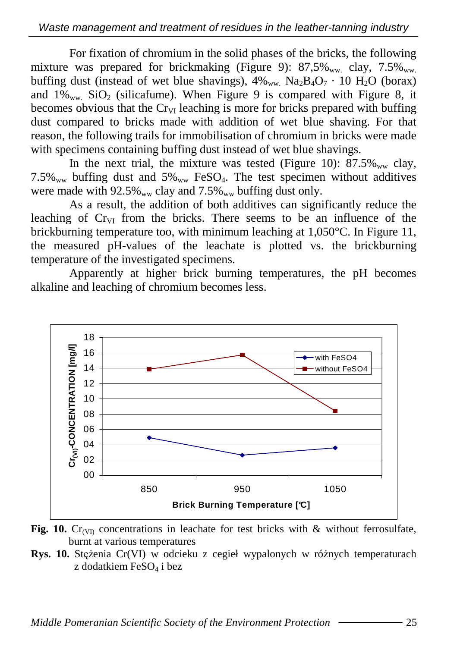For fixation of chromium in the solid phases of the bricks, the following mixture was prepared for brickmaking (Figure 9):  $87.5\%$ <sub>ww</sub> clay,  $7.5\%$ <sub>ww</sub> buffing dust (instead of wet blue shavings),  $4\%_{ww}$  Na<sub>2</sub>B<sub>4</sub>O<sub>7</sub> · 10 H<sub>2</sub>O (borax) and  $1\%_{ww}$  SiO<sub>2</sub> (silicafume). When Figure 9 is compared with Figure 8, it becomes obvious that the  $C_{\text{IV}}$  leaching is more for bricks prepared with buffing dust compared to bricks made with addition of wet blue shaving. For that reason, the following trails for immobilisation of chromium in bricks were made with specimens containing buffing dust instead of wet blue shavings.

In the next trial, the mixture was tested (Figure 10):  $87.5\%$ <sub>ww</sub> clay,  $7.5\%$ <sub>ww</sub> buffing dust and  $5\%$ <sub>ww</sub> FeSO<sub>4</sub>. The test specimen without additives were made with  $92.5\%_{ww}$  clay and  $7.5\%_{ww}$  buffing dust only.

As a result, the addition of both additives can significantly reduce the leaching of  $C_{\text{IV}}$  from the bricks. There seems to be an influence of the brickburning temperature too, with minimum leaching at 1,050°C. In Figure 11, the measured pH-values of the leachate is plotted vs. the brickburning temperature of the investigated specimens.

Apparently at higher brick burning temperatures, the pH becomes alkaline and leaching of chromium becomes less.



**Fig. 10.**  $Cr_{(V)}$  concentrations in leachate for test bricks with & without ferrosulfate, burnt at various temperatures

**Rys. 10.** Stężenia Cr(VI) w odcieku z cegieł wypalonych w różnych temperaturach z dodatkiem  $FeSO<sub>4</sub>$  i bez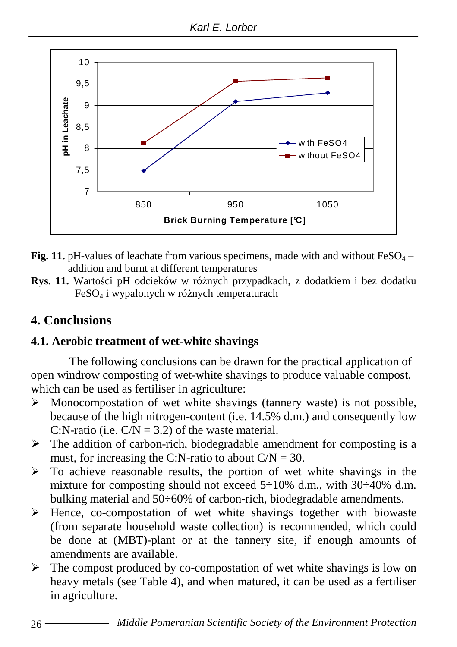

- **Fig. 11.** pH-values of leachate from various specimens, made with and without  $FeSO<sub>4</sub>$ addition and burnt at different temperatures
- **Rys. 11.** Wartości pH odcieków w różnych przypadkach, z dodatkiem i bez dodatku  $FeSO<sub>4</sub>$  i wypalonych w różnych temperaturach

## **4. Conclusions**

## **4.1. Aerobic treatment of wet-white shavings**

The following conclusions can be drawn for the practical application of open windrow composting of wet-white shavings to produce valuable compost, which can be used as fertiliser in agriculture:

- > Monocompostation of wet white shavings (tannery waste) is not possible, because of the high nitrogen-content (i.e. 14.5% d.m.) and consequently low C:N-ratio (i.e.  $C/N = 3.2$ ) of the waste material.
- > The addition of carbon-rich, biodegradable amendment for composting is a must, for increasing the C:N-ratio to about  $C/N = 30$ .
- > To achieve reasonable results, the portion of wet white shavings in the mixture for composting should not exceed  $5\div 10\%$  d.m., with 30 $\div 40\%$  d.m. bulking material and 50÷60% of carbon-rich, biodegradable amendments.
- > Hence, co-compostation of wet white shavings together with biowaste (from separate household waste collection) is recommended, which could be done at (MBT)-plant or at the tannery site, if enough amounts of amendments are available.
- > The compost produced by co-compostation of wet white shavings is low on heavy metals (see Table 4), and when matured, it can be used as a fertiliser in agriculture.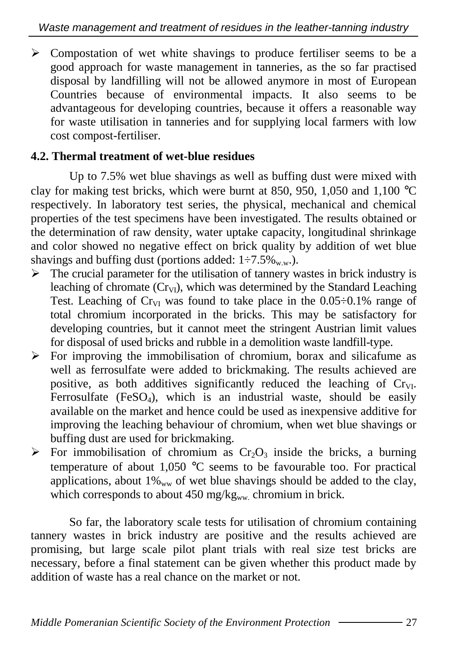> Compostation of wet white shavings to produce fertiliser seems to be a good approach for waste management in tanneries, as the so far practised disposal by landfilling will not be allowed anymore in most of European Countries because of environmental impacts. It also seems to be advantageous for developing countries, because it offers a reasonable way for waste utilisation in tanneries and for supplying local farmers with low cost compost-fertiliser.

### **4.2. Thermal treatment of wet-blue residues**

Up to 7.5% wet blue shavings as well as buffing dust were mixed with clay for making test bricks, which were burnt at 850, 950, 1,050 and 1,100 °C respectively. In laboratory test series, the physical, mechanical and chemical properties of the test specimens have been investigated. The results obtained or the determination of raw density, water uptake capacity, longitudinal shrinkage and color showed no negative effect on brick quality by addition of wet blue shavings and buffing dust (portions added:  $1\div 7.5\%$  w.w.).

- > The crucial parameter for the utilisation of tannery wastes in brick industry is leaching of chromate  $(Cr_{VI})$ , which was determined by the Standard Leaching Test. Leaching of  $Cr_{VI}$  was found to take place in the  $0.05\div0.1\%$  range of total chromium incorporated in the bricks. This may be satisfactory for developing countries, but it cannot meet the stringent Austrian limit values for disposal of used bricks and rubble in a demolition waste landfill-type.
- > For improving the immobilisation of chromium, borax and silicafume as well as ferrosulfate were added to brickmaking. The results achieved are positive, as both additives significantly reduced the leaching of  $Cr_{VI}$ . Ferrosulfate (FeSO<sub>4</sub>), which is an industrial waste, should be easily available on the market and hence could be used as inexpensive additive for improving the leaching behaviour of chromium, when wet blue shavings or buffing dust are used for brickmaking.
- $\triangleright$  For immobilisation of chromium as Cr<sub>2</sub>O<sub>3</sub> inside the bricks, a burning temperature of about 1,050 °C seems to be favourable too. For practical applications, about  $1\%_{ww}$  of wet blue shavings should be added to the clay, which corresponds to about  $450 \text{ mg/kg}_{ww}$  chromium in brick.

So far, the laboratory scale tests for utilisation of chromium containing tannery wastes in brick industry are positive and the results achieved are promising, but large scale pilot plant trials with real size test bricks are necessary, before a final statement can be given whether this product made by addition of waste has a real chance on the market or not.